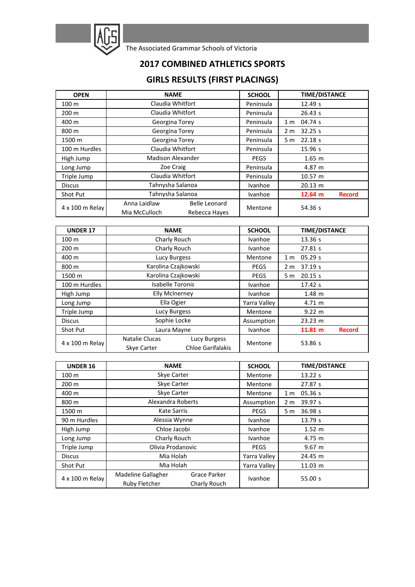

The Associated Grammar Schools of Victoria

## **2017 COMBINED ATHLETICS SPORTS**

## **GIRLS RESULTS (FIRST PLACINGS)**

| <b>OPEN</b>      | <b>NAME</b>                   |                                | <b>SCHOOL</b> |                | <b>TIME/DISTANCE</b> |               |
|------------------|-------------------------------|--------------------------------|---------------|----------------|----------------------|---------------|
| 100 <sub>m</sub> | Claudia Whitfort              |                                | Peninsula     |                | 12.49 s              |               |
| $200 \text{ m}$  | Claudia Whitfort              |                                | Peninsula     |                | 26.43 s              |               |
| 400 m            | Georgina Torey                |                                | Peninsula     | 1 <sub>m</sub> | 04.74 s              |               |
| 800 m            | Georgina Torey                |                                | Peninsula     | 2 <sub>m</sub> | 32.25 s              |               |
| 1500 m           |                               | Georgina Torey                 |               | 5 m            | 22.18 s              |               |
| 100 m Hurdles    | Claudia Whitfort              |                                | Peninsula     |                | 15.96 s              |               |
| High Jump        | <b>Madison Alexander</b>      |                                | <b>PEGS</b>   |                | $1.65$ m             |               |
| Long Jump        | Zoe Craig                     |                                | Peninsula     |                | 4.87 m               |               |
| Triple Jump      | Claudia Whitfort              |                                | Peninsula     |                | 10.57 m              |               |
| <b>Discus</b>    | Tahnysha Salanoa              |                                | Ivanhoe       |                | 20.13 m              |               |
| Shot Put         | Tahnysha Salanoa              |                                | Ivanhoe       |                | 12.64 m              | <b>Record</b> |
| 4 x 100 m Relay  | Anna Laidlaw<br>Mia McCulloch | Belle Leonard<br>Rebecca Hayes | Mentone       |                | 54.36 s              |               |

| <b>UNDER 17</b>  | <b>NAME</b>                          |                                          | <b>SCHOOL</b> |                | <b>TIME/DISTANCE</b> |               |
|------------------|--------------------------------------|------------------------------------------|---------------|----------------|----------------------|---------------|
| 100 <sub>m</sub> | Charly Rouch                         |                                          | Ivanhoe       |                | 13.36 s              |               |
| 200 m            | Charly Rouch                         |                                          | Ivanhoe       |                | 27.81 s              |               |
| 400 m            | Lucy Burgess                         |                                          | Mentone       | 1 <sub>m</sub> | 05.29 s              |               |
| 800 m            | Karolina Czajkowski                  |                                          | <b>PEGS</b>   | 2 <sub>m</sub> | 37.19 s              |               |
| 1500 m           | Karolina Czajkowski                  |                                          | <b>PEGS</b>   | 5 m            | 20.15 s              |               |
| 100 m Hurdles    | <b>Isabelle Toronis</b>              |                                          | Ivanhoe       |                | 17.42 s              |               |
| High Jump        | <b>Elly McInerney</b>                |                                          | Ivanhoe       |                | $1.48 \; m$          |               |
| Long Jump        | Ella Ogier                           |                                          | Yarra Valley  |                | $4.71 \; m$          |               |
| Triple Jump      | Lucy Burgess                         |                                          | Mentone       |                | $9.22 \; m$          |               |
| <b>Discus</b>    | Sophie Locke                         |                                          | Assumption    |                | 23.23 m              |               |
| Shot Put         | Laura Mayne                          |                                          | Ivanhoe       |                | 11.81 m              | <b>Record</b> |
| 4 x 100 m Relay  | Natalie Clucas<br><b>Skve Carter</b> | Lucy Burgess<br><b>Chloe Garifalakis</b> | Mentone       |                | 53.86 s              |               |

| <b>UNDER 16</b> | <b>NAME</b>                         |                              | <b>SCHOOL</b>  |                | <b>TIME/DISTANCE</b> |
|-----------------|-------------------------------------|------------------------------|----------------|----------------|----------------------|
| 100 m           | Skye Carter                         |                              | Mentone        |                | 13.22 s              |
| 200 m           | Skye Carter                         |                              | Mentone        |                | 27.87 s              |
| 400 m           | Skye Carter                         |                              | Mentone        | 1 <sub>m</sub> | 05.36 s              |
| 800 m           | Alexandra Roberts                   |                              | Assumption     | 2 <sub>m</sub> | 39.97 s              |
| 1500 m          | Kate Sarris                         |                              | <b>PEGS</b>    | 5 <sub>m</sub> | 36.98 s              |
| 90 m Hurdles    | Alessia Wynne                       |                              | <b>Ivanhoe</b> |                | 13.79 s              |
| High Jump       | Chloe Jacobi                        |                              | Ivanhoe        |                | $1.52 \; m$          |
| Long Jump       | Charly Rouch                        |                              | Ivanhoe        |                | 4.75 m               |
| Triple Jump     | Olivia Prodanovic                   |                              | <b>PEGS</b>    |                | $9.67 \; m$          |
| <b>Discus</b>   | Mia Holah                           |                              | Yarra Valley   |                | 24.45 m              |
| Shot Put        | Mia Holah                           |                              | Yarra Valley   |                | 11.03 m              |
| 4 x 100 m Relay | Madeline Gallagher<br>Ruby Fletcher | Grace Parker<br>Charly Rouch | Ivanhoe        |                | 55.00 s              |